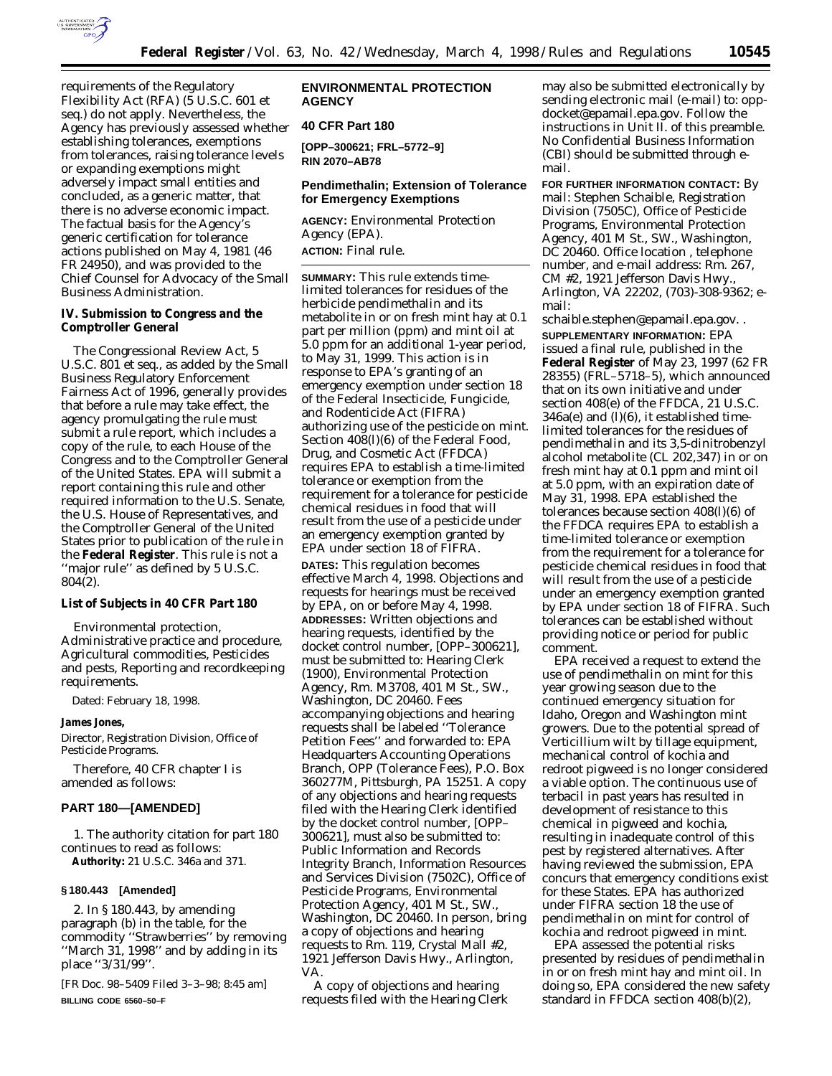

requirements of the Regulatory Flexibility Act (RFA) (5 U.S.C. 601 *et seq.*) do not apply. Nevertheless, the Agency has previously assessed whether establishing tolerances, exemptions from tolerances, raising tolerance levels or expanding exemptions might adversely impact small entities and concluded, as a generic matter, that there is no adverse economic impact. The factual basis for the Agency's generic certification for tolerance actions published on May 4, 1981 (46 FR 24950), and was provided to the Chief Counsel for Advocacy of the Small Business Administration.

## **IV. Submission to Congress and the Comptroller General**

The Congressional Review Act, 5 U.S.C. *801 et seq*., as added by the Small Business Regulatory Enforcement Fairness Act of 1996, generally provides that before a rule may take effect, the agency promulgating the rule must submit a rule report, which includes a copy of the rule, to each House of the Congress and to the Comptroller General of the United States. EPA will submit a report containing this rule and other required information to the U.S. Senate, the U.S. House of Representatives, and the Comptroller General of the United States prior to publication of the rule in the **Federal Register**. This rule is not a ''major rule'' as defined by 5 U.S.C. 804(2).

## **List of Subjects in 40 CFR Part 180**

Environmental protection, Administrative practice and procedure, Agricultural commodities, Pesticides and pests, Reporting and recordkeeping requirements.

Dated: February 18, 1998.

### **James Jones,**

*Director, Registration Division, Office of Pesticide Programs.*

Therefore, 40 CFR chapter I is amended as follows:

# **PART 180—[AMENDED]**

1. The authority citation for part 180 continues to read as follows: **Authority:** 21 U.S.C. 346a and 371.

## **§ 180.443 [Amended]**

2. In § 180.443, by amending paragraph (b) in the table, for the commodity ''Strawberries'' by removing ''March 31, 1998'' and by adding in its place ''3/31/99''.

[FR Doc. 98–5409 Filed 3–3–98; 8:45 am] **BILLING CODE 6560–50–F**

## **ENVIRONMENTAL PROTECTION AGENCY**

# **40 CFR Part 180**

**[OPP–300621; FRL–5772–9] RIN 2070–AB78**

## **Pendimethalin; Extension of Tolerance for Emergency Exemptions**

**AGENCY:** Environmental Protection Agency (EPA). **ACTION:** Final rule.

**SUMMARY:** This rule extends timelimited tolerances for residues of the herbicide pendimethalin and its metabolite in or on fresh mint hay at 0.1 part per million (ppm) and mint oil at 5.0 ppm for an additional 1-year period, to May 31, 1999. This action is in response to EPA's granting of an emergency exemption under section 18 of the Federal Insecticide, Fungicide, and Rodenticide Act (FIFRA) authorizing use of the pesticide on mint. Section 408(l)(6) of the Federal Food, Drug, and Cosmetic Act (FFDCA) requires EPA to establish a time-limited tolerance or exemption from the requirement for a tolerance for pesticide chemical residues in food that will result from the use of a pesticide under an emergency exemption granted by EPA under section 18 of FIFRA. **DATES:** This regulation becomes effective March 4, 1998. Objections and requests for hearings must be received by EPA, on or before May 4, 1998. **ADDRESSES:** Written objections and hearing requests, identified by the docket control number, [OPP–300621], must be submitted to: Hearing Clerk (1900), Environmental Protection Agency, Rm. M3708, 401 M St., SW., Washington, DC 20460. Fees accompanying objections and hearing requests shall be labeled ''Tolerance Petition Fees'' and forwarded to: EPA Headquarters Accounting Operations Branch, OPP (Tolerance Fees), P.O. Box 360277M, Pittsburgh, PA 15251. A copy of any objections and hearing requests filed with the Hearing Clerk identified by the docket control number, [OPP– 300621], must also be submitted to: Public Information and Records Integrity Branch, Information Resources and Services Division (7502C), Office of Pesticide Programs, Environmental Protection Agency, 401 M St., SW., Washington, DC 20460. In person, bring a copy of objections and hearing requests to Rm. 119, Crystal Mall #2, 1921 Jefferson Davis Hwy., Arlington, VA.

A copy of objections and hearing requests filed with the Hearing Clerk

may also be submitted electronically by sending electronic mail (e-mail) to: oppdocket@epamail.epa.gov. Follow the instructions in Unit II. of this preamble. No Confidential Business Information (CBI) should be submitted through email.

**FOR FURTHER INFORMATION CONTACT:** By mail: Stephen Schaible, Registration Division (7505C), Office of Pesticide Programs, Environmental Protection Agency, 401 M St., SW., Washington, DC 20460. Office location , telephone number, and e-mail address: Rm. 267, CM #2, 1921 Jefferson Davis Hwy., Arlington, VA 22202, (703)-308-9362; email:

schaible.stephen@epamail.epa.gov. . **SUPPLEMENTARY INFORMATION:** EPA issued a final rule, published in the **Federal Register** of May 23, 1997 (62 FR 28355) (FRL–5718–5), which announced that on its own initiative and under section 408(e) of the FFDCA, 21 U.S.C. 346a(e) and (l)(6), it established timelimited tolerances for the residues of pendimethalin and its 3,5-dinitrobenzyl alcohol metabolite (CL 202,347) in or on fresh mint hay at 0.1 ppm and mint oil at 5.0 ppm, with an expiration date of May 31, 1998. EPA established the tolerances because section 408(l)(6) of the FFDCA requires EPA to establish a time-limited tolerance or exemption from the requirement for a tolerance for pesticide chemical residues in food that will result from the use of a pesticide under an emergency exemption granted by EPA under section 18 of FIFRA. Such tolerances can be established without providing notice or period for public comment.

EPA received a request to extend the use of pendimethalin on mint for this year growing season due to the continued emergency situation for Idaho, Oregon and Washington mint growers. Due to the potential spread of *Verticillium* wilt by tillage equipment, mechanical control of kochia and redroot pigweed is no longer considered a viable option. The continuous use of terbacil in past years has resulted in development of resistance to this chemical in pigweed and kochia, resulting in inadequate control of this pest by registered alternatives. After having reviewed the submission, EPA concurs that emergency conditions exist for these States. EPA has authorized under FIFRA section 18 the use of pendimethalin on mint for control of kochia and redroot pigweed in mint.

EPA assessed the potential risks presented by residues of pendimethalin in or on fresh mint hay and mint oil. In doing so, EPA considered the new safety standard in FFDCA section 408(b)(2),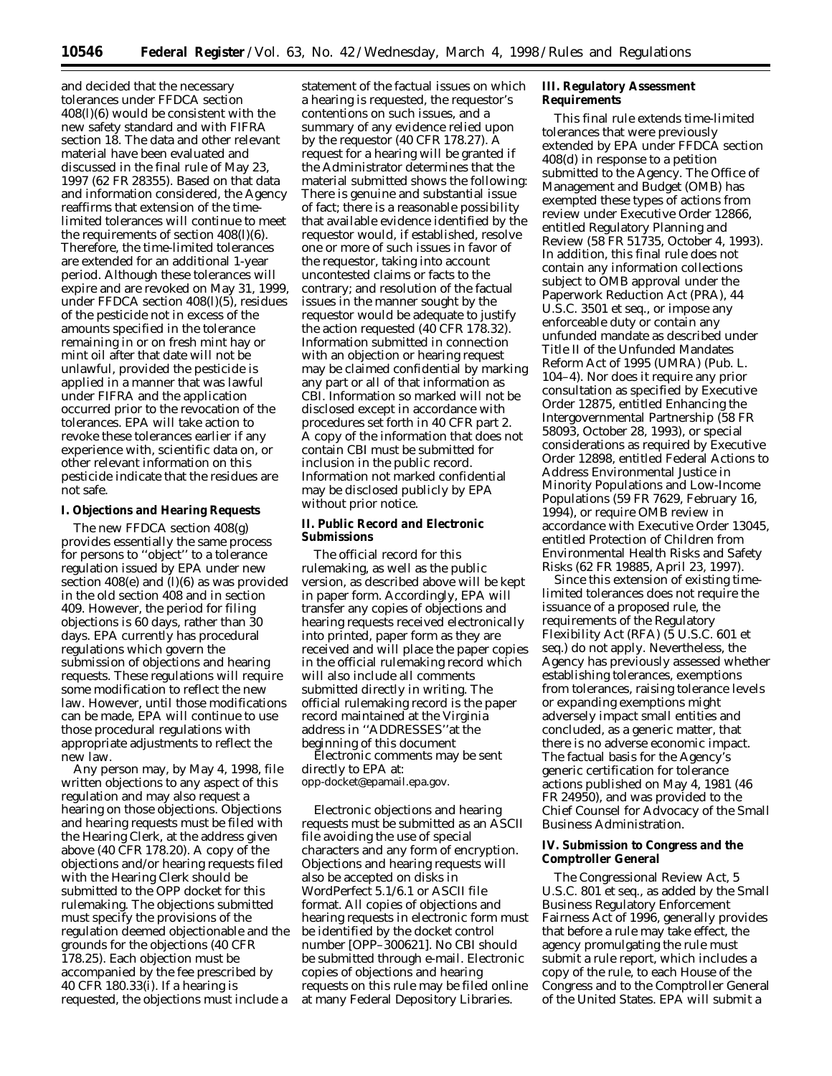and decided that the necessary tolerances under FFDCA section 408(l)(6) would be consistent with the new safety standard and with FIFRA section 18. The data and other relevant material have been evaluated and discussed in the final rule of May 23, 1997 (62 FR 28355). Based on that data and information considered, the Agency reaffirms that extension of the timelimited tolerances will continue to meet the requirements of section 408(l)(6). Therefore, the time-limited tolerances are extended for an additional 1-year period. Although these tolerances will expire and are revoked on May 31, 1999, under FFDCA section 408(l)(5), residues of the pesticide not in excess of the amounts specified in the tolerance remaining in or on fresh mint hay or mint oil after that date will not be unlawful, provided the pesticide is applied in a manner that was lawful under FIFRA and the application occurred prior to the revocation of the tolerances. EPA will take action to revoke these tolerances earlier if any experience with, scientific data on, or other relevant information on this pesticide indicate that the residues are not safe.

### **I. Objections and Hearing Requests**

The new FFDCA section 408(g) provides essentially the same process for persons to ''object'' to a tolerance regulation issued by EPA under new section  $408(e)$  and  $(l)(6)$  as was provided in the old section 408 and in section 409. However, the period for filing objections is 60 days, rather than 30 days. EPA currently has procedural regulations which govern the submission of objections and hearing requests. These regulations will require some modification to reflect the new law. However, until those modifications can be made, EPA will continue to use those procedural regulations with appropriate adjustments to reflect the new law.

Any person may, by May 4, 1998, file written objections to any aspect of this regulation and may also request a hearing on those objections. Objections and hearing requests must be filed with the Hearing Clerk, at the address given above (40 CFR 178.20). A copy of the objections and/or hearing requests filed with the Hearing Clerk should be submitted to the OPP docket for this rulemaking. The objections submitted must specify the provisions of the regulation deemed objectionable and the grounds for the objections (40 CFR 178.25). Each objection must be accompanied by the fee prescribed by 40 CFR 180.33(i). If a hearing is requested, the objections must include a

statement of the factual issues on which a hearing is requested, the requestor's contentions on such issues, and a summary of any evidence relied upon by the requestor (40 CFR 178.27). A request for a hearing will be granted if the Administrator determines that the material submitted shows the following: There is genuine and substantial issue of fact; there is a reasonable possibility that available evidence identified by the requestor would, if established, resolve one or more of such issues in favor of the requestor, taking into account uncontested claims or facts to the contrary; and resolution of the factual issues in the manner sought by the requestor would be adequate to justify the action requested (40 CFR 178.32). Information submitted in connection with an objection or hearing request may be claimed confidential by marking any part or all of that information as CBI. Information so marked will not be disclosed except in accordance with procedures set forth in 40 CFR part 2. A copy of the information that does not contain CBI must be submitted for inclusion in the public record. Information not marked confidential may be disclosed publicly by EPA without prior notice.

## **II. Public Record and Electronic Submissions**

The official record for this rulemaking, as well as the public version, as described above will be kept in paper form. Accordingly, EPA will transfer any copies of objections and hearing requests received electronically into printed, paper form as they are received and will place the paper copies in the official rulemaking record which will also include all comments submitted directly in writing. The official rulemaking record is the paper record maintained at the Virginia address in ''ADDRESSES''at the beginning of this document

Electronic comments may be sent directly to EPA at: opp-docket@epamail.epa.gov.

Electronic objections and hearing requests must be submitted as an ASCII file avoiding the use of special characters and any form of encryption. Objections and hearing requests will also be accepted on disks in WordPerfect 5.1/6.1 or ASCII file format. All copies of objections and hearing requests in electronic form must be identified by the docket control number [OPP–300621]. No CBI should be submitted through e-mail. Electronic copies of objections and hearing requests on this rule may be filed online at many Federal Depository Libraries.

## **III. Regulatory Assessment Requirements**

This final rule extends time-limited tolerances that were previously extended by EPA under FFDCA section 408(d) in response to a petition submitted to the Agency. The Office of Management and Budget (OMB) has exempted these types of actions from review under Executive Order 12866, entitled Regulatory Planning and Review (58 FR 51735, October 4, 1993). In addition, this final rule does not contain any information collections subject to OMB approval under the Paperwork Reduction Act (PRA), 44 U.S.C. 3501 *et seq.*, or impose any enforceable duty or contain any unfunded mandate as described under Title II of the Unfunded Mandates Reform Act of 1995 (UMRA) (Pub. L. 104–4). Nor does it require any prior consultation as specified by Executive Order 12875, entitled Enhancing the Intergovernmental Partnership (58 FR 58093, October 28, 1993), or special considerations as required by Executive Order 12898, entitled Federal Actions to Address Environmental Justice in Minority Populations and Low-Income Populations (59 FR 7629, February 16, 1994), or require OMB review in accordance with Executive Order 13045, entitled Protection of Children from Environmental Health Risks and Safety Risks (62 FR 19885, April 23, 1997).

Since this extension of existing timelimited tolerances does not require the issuance of a proposed rule, the requirements of the Regulatory Flexibility Act (RFA) (5 U.S.C. 601 *et seq.*) do not apply. Nevertheless, the Agency has previously assessed whether establishing tolerances, exemptions from tolerances, raising tolerance levels or expanding exemptions might adversely impact small entities and concluded, as a generic matter, that there is no adverse economic impact. The factual basis for the Agency's generic certification for tolerance actions published on May 4, 1981 (46 FR 24950), and was provided to the Chief Counsel for Advocacy of the Small Business Administration.

## **IV. Submission to Congress and the Comptroller General**

The Congressional Review Act, 5 U.S.C. *801 et seq*., as added by the Small Business Regulatory Enforcement Fairness Act of 1996, generally provides that before a rule may take effect, the agency promulgating the rule must submit a rule report, which includes a copy of the rule, to each House of the Congress and to the Comptroller General of the United States. EPA will submit a